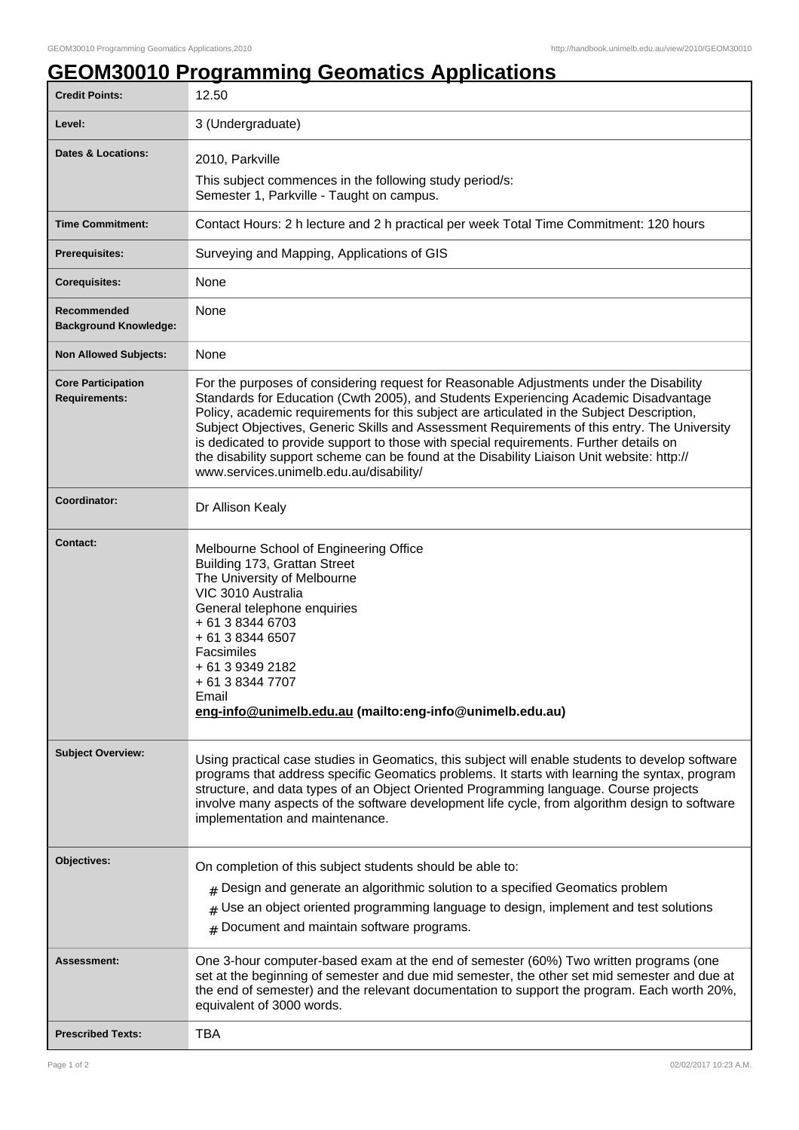## **GEOM30010 Programming Geomatics Applications**

| <b>Credit Points:</b>                             | 12.50                                                                                                                                                                                                                                                                                                                                                                                                                                                                                                                                                                                                            |
|---------------------------------------------------|------------------------------------------------------------------------------------------------------------------------------------------------------------------------------------------------------------------------------------------------------------------------------------------------------------------------------------------------------------------------------------------------------------------------------------------------------------------------------------------------------------------------------------------------------------------------------------------------------------------|
| Level:                                            | 3 (Undergraduate)                                                                                                                                                                                                                                                                                                                                                                                                                                                                                                                                                                                                |
| Dates & Locations:                                | 2010, Parkville                                                                                                                                                                                                                                                                                                                                                                                                                                                                                                                                                                                                  |
|                                                   | This subject commences in the following study period/s:<br>Semester 1, Parkville - Taught on campus.                                                                                                                                                                                                                                                                                                                                                                                                                                                                                                             |
| <b>Time Commitment:</b>                           | Contact Hours: 2 h lecture and 2 h practical per week Total Time Commitment: 120 hours                                                                                                                                                                                                                                                                                                                                                                                                                                                                                                                           |
| <b>Prerequisites:</b>                             | Surveying and Mapping, Applications of GIS                                                                                                                                                                                                                                                                                                                                                                                                                                                                                                                                                                       |
| <b>Corequisites:</b>                              | <b>None</b>                                                                                                                                                                                                                                                                                                                                                                                                                                                                                                                                                                                                      |
| Recommended<br><b>Background Knowledge:</b>       | None                                                                                                                                                                                                                                                                                                                                                                                                                                                                                                                                                                                                             |
| <b>Non Allowed Subjects:</b>                      | None                                                                                                                                                                                                                                                                                                                                                                                                                                                                                                                                                                                                             |
| <b>Core Participation</b><br><b>Requirements:</b> | For the purposes of considering request for Reasonable Adjustments under the Disability<br>Standards for Education (Cwth 2005), and Students Experiencing Academic Disadvantage<br>Policy, academic requirements for this subject are articulated in the Subject Description,<br>Subject Objectives, Generic Skills and Assessment Requirements of this entry. The University<br>is dedicated to provide support to those with special requirements. Further details on<br>the disability support scheme can be found at the Disability Liaison Unit website: http://<br>www.services.unimelb.edu.au/disability/ |
| Coordinator:                                      | Dr Allison Kealy                                                                                                                                                                                                                                                                                                                                                                                                                                                                                                                                                                                                 |
| <b>Contact:</b>                                   | Melbourne School of Engineering Office<br>Building 173, Grattan Street<br>The University of Melbourne<br>VIC 3010 Australia<br>General telephone enquiries<br>+ 61 3 8344 6703<br>+ 61 3 8344 6507<br>Facsimiles<br>+ 61 3 9349 2182<br>+ 61 3 8344 7707<br>Email<br>eng-info@unimelb.edu.au (mailto:eng-info@unimelb.edu.au)                                                                                                                                                                                                                                                                                    |
| <b>Subject Overview:</b>                          | Using practical case studies in Geomatics, this subject will enable students to develop software<br>programs that address specific Geomatics problems. It starts with learning the syntax, program<br>structure, and data types of an Object Oriented Programming language. Course projects<br>involve many aspects of the software development life cycle, from algorithm design to software<br>implementation and maintenance.                                                                                                                                                                                 |
| Objectives:                                       | On completion of this subject students should be able to:                                                                                                                                                                                                                                                                                                                                                                                                                                                                                                                                                        |
|                                                   | $#$ Design and generate an algorithmic solution to a specified Geomatics problem<br>Use an object oriented programming language to design, implement and test solutions<br>Document and maintain software programs.<br>#                                                                                                                                                                                                                                                                                                                                                                                         |
| Assessment:                                       | One 3-hour computer-based exam at the end of semester (60%) Two written programs (one<br>set at the beginning of semester and due mid semester, the other set mid semester and due at<br>the end of semester) and the relevant documentation to support the program. Each worth 20%,<br>equivalent of 3000 words.                                                                                                                                                                                                                                                                                                |
| <b>Prescribed Texts:</b>                          | <b>TBA</b>                                                                                                                                                                                                                                                                                                                                                                                                                                                                                                                                                                                                       |